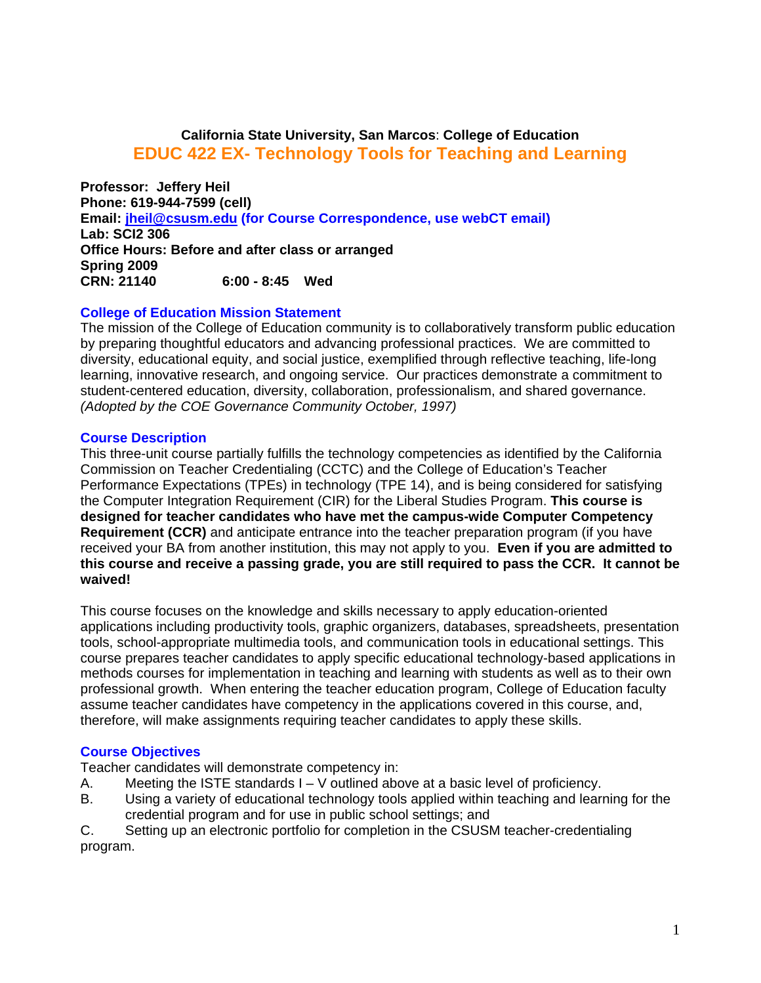# **California State University, San Marcos**: **College of Education EDUC 422 EX- Technology Tools for Teaching and Learning**

**CRN: 21140 Professor: Jeffery Heil Phone: 619-944-7599 (cell) Email: jheil@csusm.edu (for Course Correspondence, use webCT email) Lab: SCI2 306 Office Hours: Before and after class or arranged Spring 2009 CRN: 21140 6:00 - 8:45 Wed** 

#### **College of Education Mission Statement**

The mission of the College of Education community is to collaboratively transform public education by preparing thoughtful educators and advancing professional practices. We are committed to diversity, educational equity, and social justice, exemplified through reflective teaching, life-long learning, innovative research, and ongoing service. Our practices demonstrate a commitment to student-centered education, diversity, collaboration, professionalism, and shared governance. *(Adopted by the COE Governance Community October, 1997)* 

#### **Course Description**

This three-unit course partially fulfills the technology competencies as identified by the California Commission on Teacher Credentialing (CCTC) and the College of Education's Teacher Performance Expectations (TPEs) in technology (TPE 14), and is being considered for satisfying the Computer Integration Requirement (CIR) for the Liberal Studies Program. **This course is designed for teacher candidates who have met the campus-wide Computer Competency Requirement (CCR)** and anticipate entrance into the teacher preparation program (if you have received your BA from another institution, this may not apply to you. **Even if you are admitted to this course and receive a passing grade, you are still required to pass the CCR. It cannot be waived!** 

This course focuses on the knowledge and skills necessary to apply education-oriented applications including productivity tools, graphic organizers, databases, spreadsheets, presentation tools, school-appropriate multimedia tools, and communication tools in educational settings. This course prepares teacher candidates to apply specific educational technology-based applications in methods courses for implementation in teaching and learning with students as well as to their own professional growth. When entering the teacher education program, College of Education faculty assume teacher candidates have competency in the applications covered in this course, and, therefore, will make assignments requiring teacher candidates to apply these skills.

## **Course Objectives**

Teacher candidates will demonstrate competency in:

- A. Meeting the ISTE standards  $I V$  outlined above at a basic level of proficiency.
- B. Using a variety of educational technology tools applied within teaching and learning for the credential program and for use in public school settings; and

C. Setting up an electronic portfolio for completion in the CSUSM teacher-credentialing program.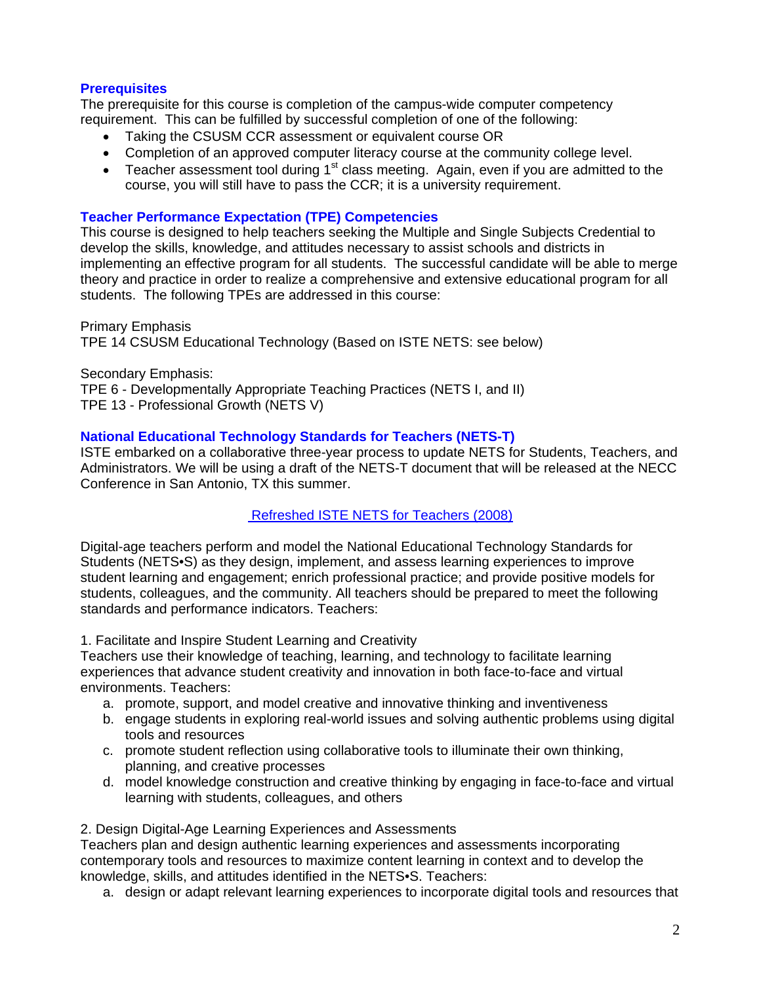# **Prerequisites**

The prerequisite for this course is completion of the campus-wide computer competency requirement. This can be fulfilled by successful completion of one of the following:

- Taking the CSUSM CCR assessment or equivalent course OR
- Completion of an approved computer literacy course at the community college level.
- Teacher assessment tool during  $1<sup>st</sup>$  class meeting. Again, even if you are admitted to the course, you will still have to pass the CCR; it is a university requirement.

# **Teacher Performance Expectation (TPE) Competencies**

This course is designed to help teachers seeking the Multiple and Single Subjects Credential to develop the skills, knowledge, and attitudes necessary to assist schools and districts in implementing an effective program for all students. The successful candidate will be able to merge theory and practice in order to realize a comprehensive and extensive educational program for all students. The following TPEs are addressed in this course:

Primary Emphasis TPE 14 CSUSM Educational Technology (Based on ISTE NETS: see below)

Secondary Emphasis: TPE 6 - Developmentally Appropriate Teaching Practices (NETS I, and II) TPE 13 - Professional Growth (NETS V)

# **National Educational Technology Standards for Teachers (NETS-T)**

ISTE embarked on a collaborative three-year process to update NETS for Students, Teachers, and Administrators. We will be using a draft of the NETS-T document that will be released at the NECC Conference in San Antonio, TX this summer.

# Refreshed ISTE NETS for Teachers (2008)

Digital-age teachers perform and model the National Educational Technology Standards for Students (NETS•S) as they design, implement, and assess learning experiences to improve student learning and engagement; enrich professional practice; and provide positive models for students, colleagues, and the community. All teachers should be prepared to meet the following standards and performance indicators. Teachers:

1. Facilitate and Inspire Student Learning and Creativity

environments. Teachers: Teachers use their knowledge of teaching, learning, and technology to facilitate learning experiences that advance student creativity and innovation in both face-to-face and virtual

- a. promote, support, and model creative and innovative thinking and inventiveness
- b. engage students in exploring real-world issues and solving authentic problems using digital tools and resources
- c. promote student reflection using collaborative tools to illuminate their own thinking, planning, and creative processes
- d. model knowledge construction and creative thinking by engaging in face-to-face and virtual learning with students, colleagues, and others

## 2. Design Digital-Age Learning Experiences and Assessments

Teachers plan and design authentic learning experiences and assessments incorporating contemporary tools and resources to maximize content learning in context and to develop the knowledge, skills, and attitudes identified in the NETS•S. Teachers:

a. design or adapt relevant learning experiences to incorporate digital tools and resources that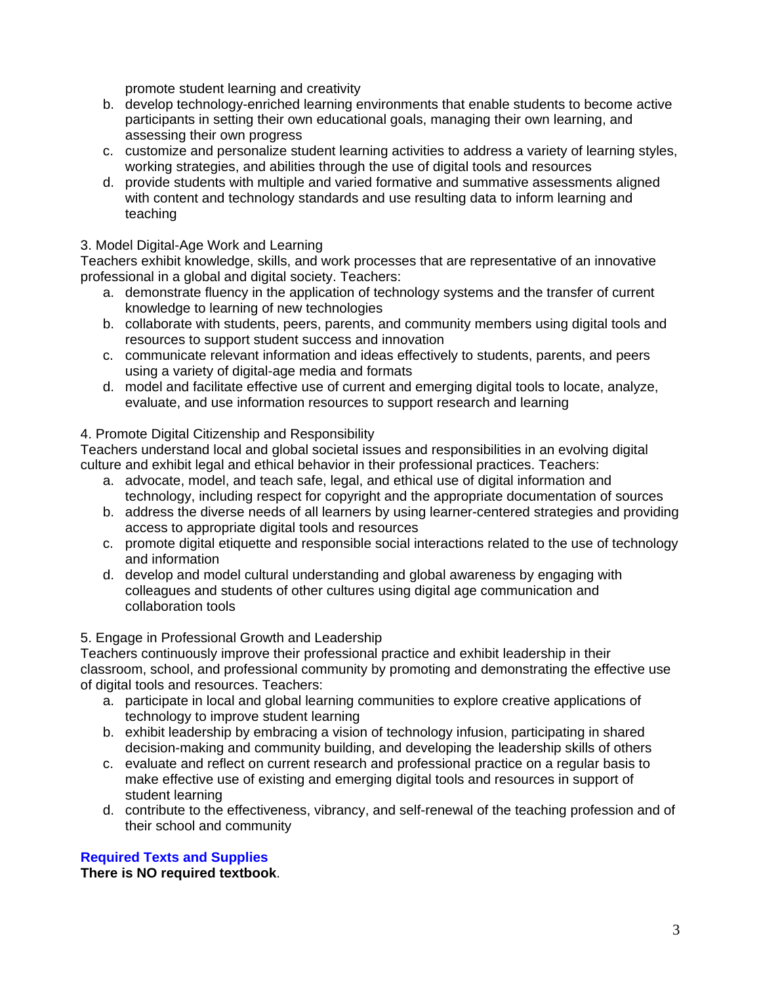promote student learning and creativity

- b. develop technology-enriched learning environments that enable students to become active participants in setting their own educational goals, managing their own learning, and assessing their own progress
- c. customize and personalize student learning activities to address a variety of learning styles, working strategies, and abilities through the use of digital tools and resources
- d. provide students with multiple and varied formative and summative assessments aligned with content and technology standards and use resulting data to inform learning and teaching

# 3. Model Digital-Age Work and Learning

Teachers exhibit knowledge, skills, and work processes that are representative of an innovative professional in a global and digital society. Teachers:

- a. demonstrate fluency in the application of technology systems and the transfer of current knowledge to learning of new technologies
- b. collaborate with students, peers, parents, and community members using digital tools and resources to support student success and innovation
- c. communicate relevant information and ideas effectively to students, parents, and peers using a variety of digital-age media and formats
- evaluate, and use information resources to support research and learning 4. Promote Digital Citizenship and Responsibility d. model and facilitate effective use of current and emerging digital tools to locate, analyze,

Teachers understand local and global societal issues and responsibilities in an evolving digital culture and exhibit legal and ethical behavior in their professional practices. Teachers:

- a. advocate, model, and teach safe, legal, and ethical use of digital information and technology, including respect for copyright and the appropriate documentation of sources
- b. address the diverse needs of all learners by using learner-centered strategies and providing access to appropriate digital tools and resources
- c. promote digital etiquette and responsible social interactions related to the use of technology and information
- d. develop and model cultural understanding and global awareness by engaging with colleagues and students of other cultures using digital age communication and collaboration tools

# 5. Engage in Professional Growth and Leadership

Teachers continuously improve their professional practice and exhibit leadership in their classroom, school, and professional community by promoting and demonstrating the effective use of digital tools and resources. Teachers:

- a. participate in local and global learning communities to explore creative applications of technology to improve student learning
- b. exhibit leadership by embracing a vision of technology infusion, participating in shared decision-making and community building, and developing the leadership skills of others
- c. evaluate and reflect on current research and professional practice on a regular basis to make effective use of existing and emerging digital tools and resources in support of student learning
- d. contribute to the effectiveness, vibrancy, and self-renewal of the teaching profession and of their school and community

# **Required Texts and Supplies**

**There is NO required textbook**.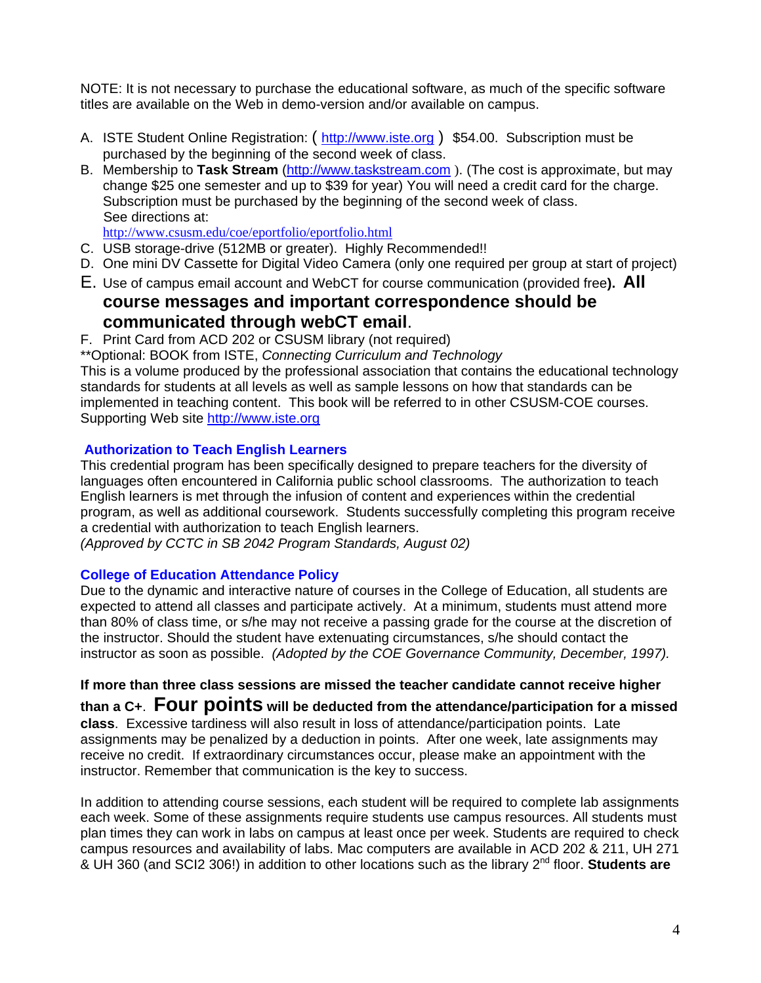NOTE: It is not necessary to purchase the educational software, as much of the specific software titles are available on the Web in demo-version and/or available on campus.

- A. ISTE Student Online Registration: (http://www.iste.org) \$54.00. Subscription must be purchased by the beginning of the second week of class.
- B. Membership to **Task Stream** (http://www.taskstream.com ). (The cost is approximate, but may change \$25 one semester and up to \$39 for year) You will need a credit card for the charge. Subscription must be purchased by the beginning of the second week of class. See directions at:

http://www.csusm.edu/coe/eportfolio/eportfolio.html

- C. USB storage-drive (512MB or greater). Highly Recommended!!
- D. One mini DV Cassette for Digital Video Camera (only one required per group at start of project)
- E. Use of campus email account and WebCT for course communication (provided free**). All course messages and important correspondence should be**
- **communicated through webCT email.**<br>F. Print Card from ACD 202 or CSUSM library (not required)

\*\*Optional: BOOK from ISTE, *Connecting Curriculum and Technology* 

This is a volume produced by the professional association that contains the educational technology standards for students at all levels as well as sample lessons on how that standards can be implemented in teaching content. This book will be referred to in other CSUSM-COE courses. Supporting Web site http://www.iste.org

# **Authorization to Teach English Learners**

This credential program has been specifically designed to prepare teachers for the diversity of languages often encountered in California public school classrooms. The authorization to teach English learners is met through the infusion of content and experiences within the credential program, as well as additional coursework. Students successfully completing this program receive a credential with authorization to teach English learners.

*(Approved by CCTC in SB 2042 Program Standards, August 02)* 

# **College of Education Attendance Policy**

 instructor as soon as possible. *(Adopted by the COE Governance Community, December, 1997).* Due to the dynamic and interactive nature of courses in the College of Education, all students are expected to attend all classes and participate actively. At a minimum, students must attend more than 80% of class time, or s/he may not receive a passing grade for the course at the discretion of the instructor. Should the student have extenuating circumstances, s/he should contact the

**If more than three class sessions are missed the teacher candidate cannot receive higher** 

**than a C+**. **Four points will be deducted from the attendance/participation for a missed class**. Excessive tardiness will also result in loss of attendance/participation points. Late assignments may be penalized by a deduction in points. After one week, late assignments may receive no credit. If extraordinary circumstances occur, please make an appointment with the instructor. Remember that communication is the key to success.

In addition to attending course sessions, each student will be required to complete lab assignments each week. Some of these assignments require students use campus resources. All students must plan times they can work in labs on campus at least once per week. Students are required to check campus resources and availability of labs. Mac computers are available in ACD 202 & 211, UH 271 & UH 360 (and SCI2 306!) in addition to other locations such as the library 2nd floor. **Students are**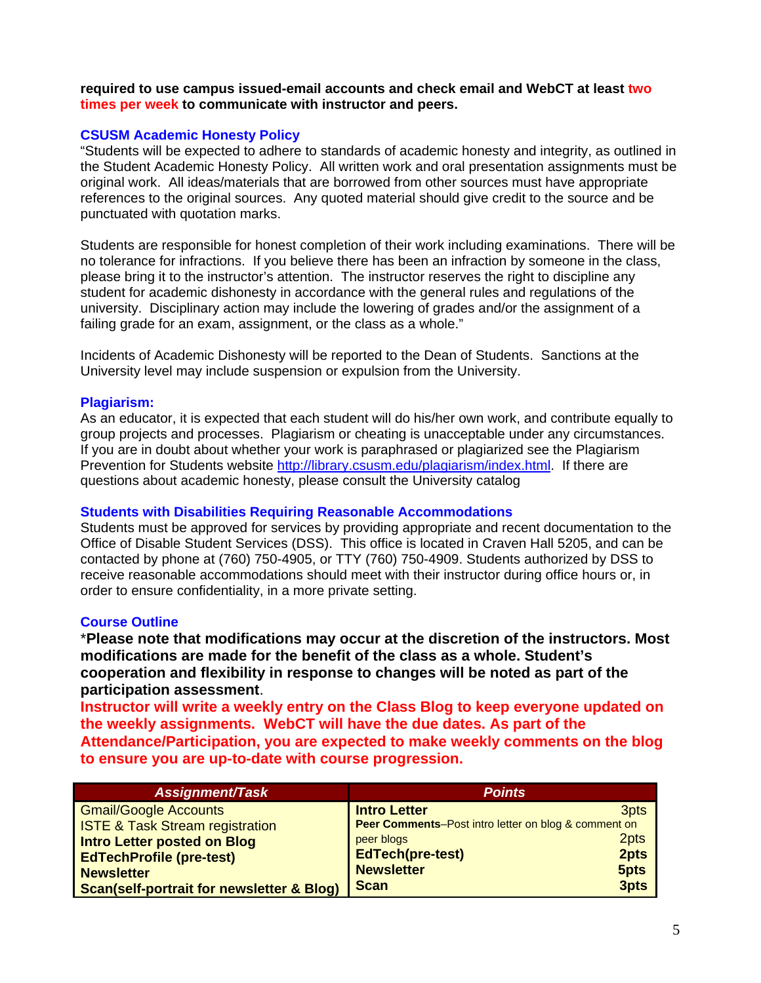**required to use campus issued-email accounts and check email and WebCT at least two times per week to communicate with instructor and peers.** 

# **CSUSM Academic Honesty Policy**

"Students will be expected to adhere to standards of academic honesty and integrity, as outlined in the Student Academic Honesty Policy. All written work and oral presentation assignments must be original work. All ideas/materials that are borrowed from other sources must have appropriate references to the original sources. Any quoted material should give credit to the source and be punctuated with quotation marks.

Students are responsible for honest completion of their work including examinations. There will be no tolerance for infractions. If you believe there has been an infraction by someone in the class, please bring it to the instructor's attention. The instructor reserves the right to discipline any student for academic dishonesty in accordance with the general rules and regulations of the university. Disciplinary action may include the lowering of grades and/or the assignment of a failing grade for an exam, assignment, or the class as a whole."

Incidents of Academic Dishonesty will be reported to the Dean of Students. Sanctions at the University level may include suspension or expulsion from the University.

## **Plagiarism:**

As an educator, it is expected that each student will do his/her own work, and contribute equally to group projects and processes. Plagiarism or cheating is unacceptable under any circumstances. If you are in doubt about whether your work is paraphrased or plagiarized see the Plagiarism Prevention for Students website http://library.csusm.edu/plagiarism/index.html. If there are questions about academic honesty, please consult the University catalog

## **Students with Disabilities Requiring Reasonable Accommodations**

Students must be approved for services by providing appropriate and recent documentation to the Office of Disable Student Services (DSS). This office is located in Craven Hall 5205, and can be contacted by phone at (760) 750-4905, or TTY (760) 750-4909. Students authorized by DSS to receive reasonable accommodations should meet with their instructor during office hours or, in order to ensure confidentiality, in a more private setting.

## **Course Outline**

\***Please note that modifications may occur at the discretion of the instructors. Most modifications are made for the benefit of the class as a whole. Student's cooperation and flexibility in response to changes will be noted as part of the participation assessment**.

**Instructor will write a weekly entry on the Class Blog to keep everyone updated on the weekly assignments. WebCT will have the due dates. As part of the Attendance/Participation, you are expected to make weekly comments on the blog to ensure you are up-to-date with course progression.** 

| <b>Assignment/Task</b>                               | <b>Points</b>                                        |      |
|------------------------------------------------------|------------------------------------------------------|------|
| <b>Gmail/Google Accounts</b>                         | <b>Intro Letter</b>                                  | 3pts |
| <b>ISTE &amp; Task Stream registration</b>           | Peer Comments-Post intro letter on blog & comment on |      |
| Intro Letter posted on Blog                          | peer blogs                                           | 2pts |
| <b>EdTechProfile (pre-test)</b>                      | <b>EdTech(pre-test)</b>                              | 2pts |
| <b>Newsletter</b>                                    | <b>Newsletter</b>                                    | 5pts |
| <b>Scan(self-portrait for newsletter &amp; Blog)</b> | <b>Scan</b>                                          | 3pts |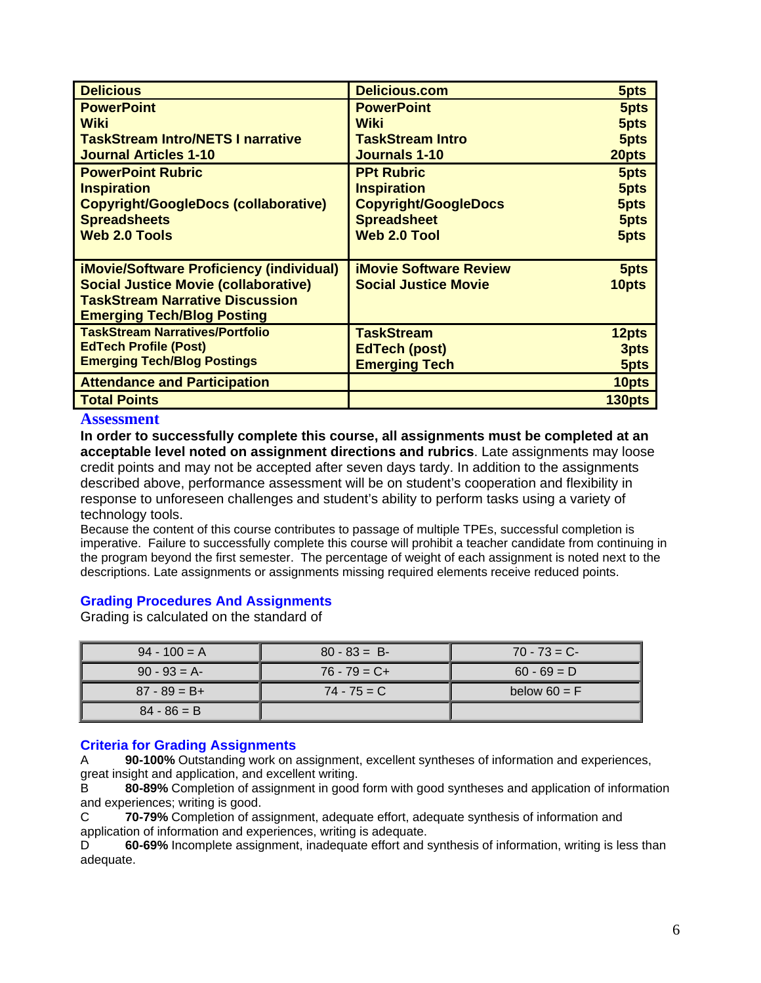| <b>Delicious</b>                                | <b>Delicious.com</b>          | 5pts   |
|-------------------------------------------------|-------------------------------|--------|
| <b>PowerPoint</b>                               | <b>PowerPoint</b>             | 5pts   |
| Wiki                                            | <b>Wiki</b>                   | 5pts   |
| <b>TaskStream Intro/NETS I narrative</b>        | <b>TaskStream Intro</b>       | 5pts   |
| <b>Journal Articles 1-10</b>                    | <b>Journals 1-10</b>          | 20pts  |
| <b>PowerPoint Rubric</b>                        | <b>PPt Rubric</b>             | 5pts   |
| <b>Inspiration</b>                              | <b>Inspiration</b>            | 5pts   |
| <b>Copyright/GoogleDocs (collaborative)</b>     | <b>Copyright/GoogleDocs</b>   | 5pts   |
| <b>Spreadsheets</b>                             | <b>Spreadsheet</b>            | 5pts   |
| <b>Web 2.0 Tools</b>                            | <b>Web 2.0 Tool</b>           | 5pts   |
|                                                 |                               |        |
| <b>iMovie/Software Proficiency (individual)</b> | <b>iMovie Software Review</b> | 5pts   |
| <b>Social Justice Movie (collaborative)</b>     | <b>Social Justice Movie</b>   | 10pts  |
| <b>TaskStream Narrative Discussion</b>          |                               |        |
| <b>Emerging Tech/Blog Posting</b>               |                               |        |
| <b>TaskStream Narratives/Portfolio</b>          | <b>TaskStream</b>             | 12pts  |
| <b>EdTech Profile (Post)</b>                    | <b>EdTech (post)</b>          | 3pts   |
| <b>Emerging Tech/Blog Postings</b>              | <b>Emerging Tech</b>          | 5pts   |
| <b>Attendance and Participation</b>             |                               | 10pts  |
| <b>Total Points</b>                             |                               | 130pts |

#### **Assessment**

**In order to successfully complete this course, all assignments must be completed at an acceptable level noted on assignment directions and rubrics**. Late assignments may loose credit points and may not be accepted after seven days tardy. In addition to the assignments described above, performance assessment will be on student's cooperation and flexibility in response to unforeseen challenges and student's ability to perform tasks using a variety of technology tools.

Because the content of this course contributes to passage of multiple TPEs, successful completion is imperative. Failure to successfully complete this course will prohibit a teacher candidate from continuing in the program beyond the first semester. The percentage of weight of each assignment is noted next to the descriptions. Late assignments or assignments missing required elements receive reduced points.

## **Grading Procedures And Assignments**

Grading is calculated on the standard of

| $94 - 100 = A$  | $80 - 83 = B$   | $70 - 73 = C$  |
|-----------------|-----------------|----------------|
| $90 - 93 = A$   | $76 - 79 = C +$ | $60 - 69 = D$  |
| $87 - 89 = B +$ | $74 - 75 = C$   | below $60 = F$ |
| $84 - 86 = B$   |                 |                |

## **Criteria for Grading Assignments**

 great insight and application, and excellent writing. A **90-100%** Outstanding work on assignment, excellent syntheses of information and experiences,

B **80-89%** Completion of assignment in good form with good syntheses and application of information and experiences; writing is good.

**70-79%** Completion of assignment, adequate effort, adequate synthesis of information and application of information and experiences, writing is adequate.  $\mathsf{C}$ 

D **60-69%** Incomplete assignment, inadequate effort and synthesis of information, writing is less than adequate.